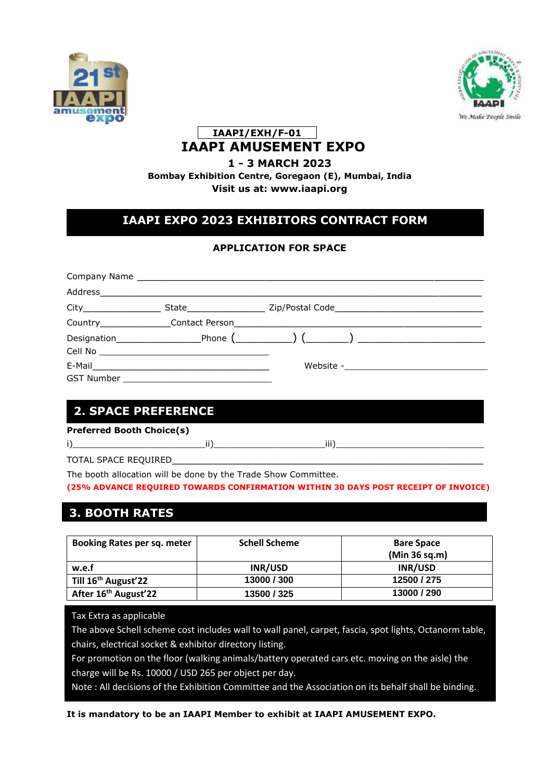



### **IAAPI/EXH/F-01 IAAPI AMUSEMENT EXPO**

### **1 - 3 MARCH 2023**

**Bombay Exhibition Centre, Goregaon (E), Mumbai, India Visit us at: [www.iaapi.org](http://www.iaapi.org/)**

## **IAAPI EXPO 2023 EXHIBITORS CONTRACT FORM**

### **APPLICATION FOR SPACE**

| Address |                                                                                                                                                    |                                                                                  |
|---------|----------------------------------------------------------------------------------------------------------------------------------------------------|----------------------------------------------------------------------------------|
|         |                                                                                                                                                    | State  ________________________ Zip/Postal Code ________________________________ |
|         | Country Contact Person                                                                                                                             |                                                                                  |
|         |                                                                                                                                                    |                                                                                  |
|         | E-Mail 2008 - 2008 - 2010 - 2010 - 2010 - 2010 - 2010 - 2010 - 2010 - 2010 - 2010 - 2010 - 2010 - 2010 - 2010<br><b>GST Number SALE SET NUMBER</b> | Website -___________________________                                             |

## **2. SPACE PREFERENCE**

**Preferred Booth Choice(s)**

i)\_\_\_\_\_\_\_\_\_\_\_\_\_\_\_\_\_\_\_\_\_\_\_\_\_ii)\_\_\_\_\_\_\_\_\_\_\_\_\_\_\_\_\_\_\_\_\_iii)\_\_\_\_\_\_\_\_\_\_\_\_\_\_\_\_\_\_\_\_\_\_\_\_\_\_\_\_

TOTAL SPACE REQUIRED

The booth allocation will be done by the Trade Show Committee.

**(25% ADVANCE REQUIRED TOWARDS CONFIRMATION WITHIN 30 DAYS POST RECEIPT OF INVOICE)**

# 3.**BOOTH RATES 3. BOOTH RATES**

| Booking Rates per sq. meter      | <b>Schell Scheme</b> | <b>Bare Space</b><br>(Min 36 sq.m) |
|----------------------------------|----------------------|------------------------------------|
| w.e.f                            | INR/USD              | INR/USD                            |
| Till 16 <sup>th</sup> August'22  | 13000 / 300          | 12500 / 275                        |
| After 16 <sup>th</sup> August'22 | 13500 / 325          | 13000 / 290                        |

Tax Extra as applicable

The above Schell scheme cost includes wall to wall panel, carpet, fascia, spot lights, Octanorm table, chairs, electrical socket & exhibitor directory listing.

For promotion on the floor (walking animals/battery operated cars etc. moving on the aisle) the charge will be Rs. 10000 / USD 265 per object per day.

It is the go-time of the secocy, our lost pay to expose por expo.<br>Note : All decisions of the Exhibition Committee and the Association on its behalf shall be binding.

**It is mandatory to be an IAAPI Member to exhibit at IAAPI AMUSEMENT EXPO.**